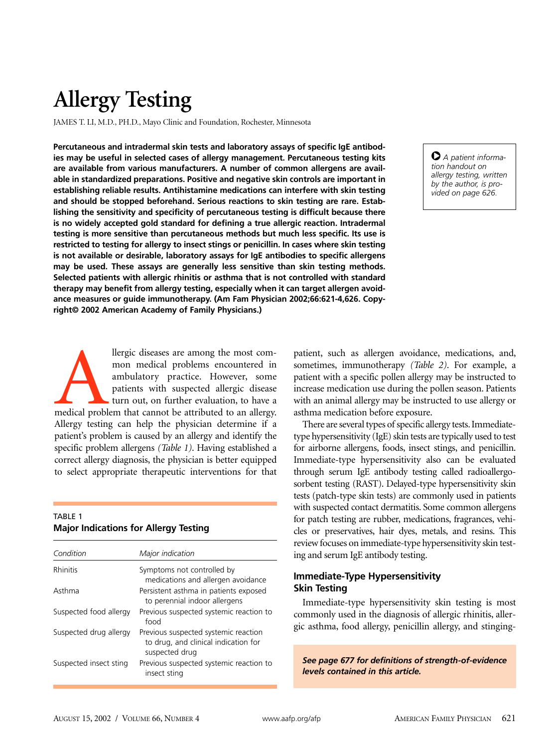# **Allergy Testing**

JAMES T. LI, M.D., PH.D., Mayo Clinic and Foundation, Rochester, Minnesota

**Percutaneous and intradermal skin tests and laboratory assays of specific IgE antibodies may be useful in selected cases of allergy management. Percutaneous testing kits are available from various manufacturers. A number of common allergens are available in standardized preparations. Positive and negative skin controls are important in establishing reliable results. Antihistamine medications can interfere with skin testing and should be stopped beforehand. Serious reactions to skin testing are rare. Establishing the sensitivity and specificity of percutaneous testing is difficult because there is no widely accepted gold standard for defining a true allergic reaction. Intradermal testing is more sensitive than percutaneous methods but much less specific. Its use is restricted to testing for allergy to insect stings or penicillin. In cases where skin testing is not available or desirable, laboratory assays for IgE antibodies to specific allergens may be used. These assays are generally less sensitive than skin testing methods. Selected patients with allergic rhinitis or asthma that is not controlled with standard therapy may benefit from allergy testing, especially when it can target allergen avoidance measures or guide immunotherapy. (Am Fam Physician 2002;66:621-4,626. Copyright© 2002 American Academy of Family Physicians.)**

O *A patient information handout on allergy testing, written by the author, is provided on page 626.*

The problem is a mong the most com-<br>
mon medical problems encountered in<br>
ambulatory practice. However, some<br>
patients with suspected allergic disease<br>
turn out, on further evaluation, to have a<br>
medical problem that canno mon medical problems encountered in ambulatory practice. However, some patients with suspected allergic disease turn out, on further evaluation, to have a Allergy testing can help the physician determine if a patient's problem is caused by an allergy and identify the specific problem allergens *(Table 1)*. Having established a correct allergy diagnosis, the physician is better equipped to select appropriate therapeutic interventions for that

## TABLE 1 **Major Indications for Allergy Testing**

| Condition              | Major indication                                                                               |
|------------------------|------------------------------------------------------------------------------------------------|
| Rhinitis               | Symptoms not controlled by<br>medications and allergen avoidance                               |
| Asthma                 | Persistent asthma in patients exposed<br>to perennial indoor allergens                         |
| Suspected food allergy | Previous suspected systemic reaction to<br>food                                                |
| Suspected drug allergy | Previous suspected systemic reaction<br>to drug, and clinical indication for<br>suspected drug |
| Suspected insect sting | Previous suspected systemic reaction to<br>insect sting                                        |

patient, such as allergen avoidance, medications, and, sometimes, immunotherapy *(Table 2)*. For example, a patient with a specific pollen allergy may be instructed to increase medication use during the pollen season. Patients with an animal allergy may be instructed to use allergy or asthma medication before exposure.

There are several types of specific allergy tests. Immediatetype hypersensitivity (IgE) skin tests are typically used to test for airborne allergens, foods, insect stings, and penicillin. Immediate-type hypersensitivity also can be evaluated through serum IgE antibody testing called radioallergosorbent testing (RAST). Delayed-type hypersensitivity skin tests (patch-type skin tests) are commonly used in patients with suspected contact dermatitis. Some common allergens for patch testing are rubber, medications, fragrances, vehicles or preservatives, hair dyes, metals, and resins. This review focuses on immediate-type hypersensitivity skin testing and serum IgE antibody testing.

## **Immediate-Type Hypersensitivity Skin Testing**

Immediate-type hypersensitivity skin testing is most commonly used in the diagnosis of allergic rhinitis, allergic asthma, food allergy, penicillin allergy, and stinging-

*See page 677 for definitions of strength-of-evidence levels contained in this article.*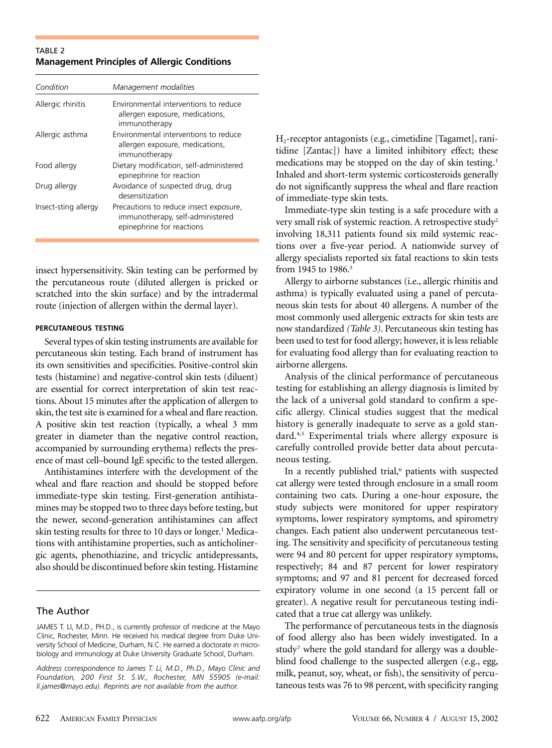## TABLE 2 **Management Principles of Allergic Conditions**

| Condition            | Management modalities                                                                                   |
|----------------------|---------------------------------------------------------------------------------------------------------|
| Allergic rhinitis    | Environmental interventions to reduce<br>allergen exposure, medications,<br>immunotherapy               |
| Allergic asthma      | Environmental interventions to reduce<br>allergen exposure, medications,<br>immunotherapy               |
| Food allergy         | Dietary modification, self-administered<br>epinephrine for reaction                                     |
| Drug allergy         | Avoidance of suspected drug, drug<br>desensitization                                                    |
| Insect-sting allergy | Precautions to reduce insect exposure,<br>immunotherapy, self-administered<br>epinephrine for reactions |

insect hypersensitivity. Skin testing can be performed by the percutaneous route (diluted allergen is pricked or scratched into the skin surface) and by the intradermal route (injection of allergen within the dermal layer).

#### **PERCUTANEOUS TESTING**

Several types of skin testing instruments are available for percutaneous skin testing. Each brand of instrument has its own sensitivities and specificities. Positive-control skin tests (histamine) and negative-control skin tests (diluent) are essential for correct interpretation of skin test reactions. About 15 minutes after the application of allergen to skin, the test site is examined for a wheal and flare reaction. A positive skin test reaction (typically, a wheal 3 mm greater in diameter than the negative control reaction, accompanied by surrounding erythema) reflects the presence of mast cell–bound IgE specific to the tested allergen.

Antihistamines interfere with the development of the wheal and flare reaction and should be stopped before immediate-type skin testing. First-generation antihistamines may be stopped two to three days before testing, but the newer, second-generation antihistamines can affect skin testing results for three to 10 days or longer.<sup>1</sup> Medications with antihistamine properties, such as anticholinergic agents, phenothiazine, and tricyclic antidepressants, also should be discontinued before skin testing. Histamine

## The Author

*Address correspondence to James T. Li, M.D., Ph.D., Mayo Clinic and Foundation, 200 First St. S.W., Rochester, MN 55905 (e-mail: li.james@mayo.edu). Reprints are not available from the author.* 

H2-receptor antagonists (e.g., cimetidine [Tagamet], ranitidine [Zantac]) have a limited inhibitory effect; these medications may be stopped on the day of skin testing.<sup>1</sup> Inhaled and short-term systemic corticosteroids generally do not significantly suppress the wheal and flare reaction of immediate-type skin tests.

Immediate-type skin testing is a safe procedure with a very small risk of systemic reaction. A retrospective study<sup>2</sup> involving 18,311 patients found six mild systemic reactions over a five-year period. A nationwide survey of allergy specialists reported six fatal reactions to skin tests from 1945 to 1986.<sup>3</sup>

Allergy to airborne substances (i.e., allergic rhinitis and asthma) is typically evaluated using a panel of percutaneous skin tests for about 40 allergens. A number of the most commonly used allergenic extracts for skin tests are now standardized *(Table 3)*. Percutaneous skin testing has been used to test for food allergy; however, it is less reliable for evaluating food allergy than for evaluating reaction to airborne allergens.

Analysis of the clinical performance of percutaneous testing for establishing an allergy diagnosis is limited by the lack of a universal gold standard to confirm a specific allergy. Clinical studies suggest that the medical history is generally inadequate to serve as a gold standard.4,5 Experimental trials where allergy exposure is carefully controlled provide better data about percutaneous testing.

In a recently published trial,<sup>6</sup> patients with suspected cat allergy were tested through enclosure in a small room containing two cats. During a one-hour exposure, the study subjects were monitored for upper respiratory symptoms, lower respiratory symptoms, and spirometry changes. Each patient also underwent percutaneous testing. The sensitivity and specificity of percutaneous testing were 94 and 80 percent for upper respiratory symptoms, respectively; 84 and 87 percent for lower respiratory symptoms; and 97 and 81 percent for decreased forced expiratory volume in one second (a 15 percent fall or greater). A negative result for percutaneous testing indicated that a true cat allergy was unlikely.

The performance of percutaneous tests in the diagnosis of food allergy also has been widely investigated. In a study<sup>7</sup> where the gold standard for allergy was a doubleblind food challenge to the suspected allergen (e.g., egg, milk, peanut, soy, wheat, or fish), the sensitivity of percutaneous tests was 76 to 98 percent, with specificity ranging

JAMES T. LI, M.D., PH.D., is currently professor of medicine at the Mayo Clinic, Rochester, Minn. He received his medical degree from Duke University School of Medicine, Durham, N.C. He earned a doctorate in microbiology and immunology at Duke University Graduate School, Durham.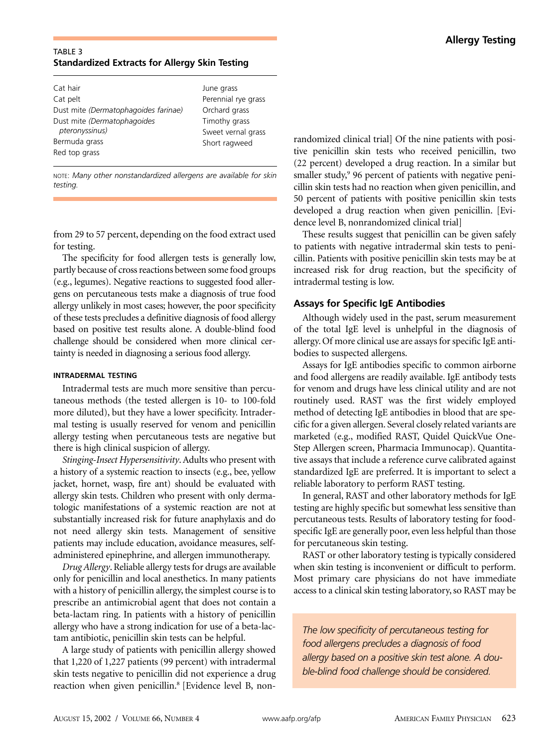## TABLE 3 **Standardized Extracts for Allergy Skin Testing**

| Cat hair                             | June grass          |
|--------------------------------------|---------------------|
| Cat pelt                             | Perennial rye grass |
| Dust mite (Dermatophagoides farinae) | Orchard grass       |
| Dust mite (Dermatophagoides          | Timothy grass       |
| pteronyssinus)                       | Sweet vernal grass  |
| Bermuda grass                        | Short ragweed       |
| Red top grass                        |                     |
|                                      |                     |

NOTE: *Many other nonstandardized allergens are available for skin testing.* 

from 29 to 57 percent, depending on the food extract used for testing.

The specificity for food allergen tests is generally low, partly because of cross reactions between some food groups (e.g., legumes). Negative reactions to suggested food allergens on percutaneous tests make a diagnosis of true food allergy unlikely in most cases; however, the poor specificity of these tests precludes a definitive diagnosis of food allergy based on positive test results alone. A double-blind food challenge should be considered when more clinical certainty is needed in diagnosing a serious food allergy.

### **INTRADERMAL TESTING**

Intradermal tests are much more sensitive than percutaneous methods (the tested allergen is 10- to 100-fold more diluted), but they have a lower specificity. Intradermal testing is usually reserved for venom and penicillin allergy testing when percutaneous tests are negative but there is high clinical suspicion of allergy.

*Stinging-Insect Hypersensitivity*. Adults who present with a history of a systemic reaction to insects (e.g., bee, yellow jacket, hornet, wasp, fire ant) should be evaluated with allergy skin tests. Children who present with only dermatologic manifestations of a systemic reaction are not at substantially increased risk for future anaphylaxis and do not need allergy skin tests. Management of sensitive patients may include education, avoidance measures, selfadministered epinephrine, and allergen immunotherapy.

*Drug Allergy*. Reliable allergy tests for drugs are available only for penicillin and local anesthetics. In many patients with a history of penicillin allergy, the simplest course is to prescribe an antimicrobial agent that does not contain a beta-lactam ring. In patients with a history of penicillin allergy who have a strong indication for use of a beta-lactam antibiotic, penicillin skin tests can be helpful.

A large study of patients with penicillin allergy showed that 1,220 of 1,227 patients (99 percent) with intradermal skin tests negative to penicillin did not experience a drug reaction when given penicillin.<sup>8</sup> [Evidence level B, nonrandomized clinical trial] Of the nine patients with positive penicillin skin tests who received penicillin, two (22 percent) developed a drug reaction. In a similar but smaller study,<sup>9</sup> 96 percent of patients with negative penicillin skin tests had no reaction when given penicillin, and 50 percent of patients with positive penicillin skin tests developed a drug reaction when given penicillin. [Evidence level B, nonrandomized clinical trial]

These results suggest that penicillin can be given safely to patients with negative intradermal skin tests to penicillin. Patients with positive penicillin skin tests may be at increased risk for drug reaction, but the specificity of intradermal testing is low.

# **Assays for Specific IgE Antibodies**

Although widely used in the past, serum measurement of the total IgE level is unhelpful in the diagnosis of allergy. Of more clinical use are assays for specific IgE antibodies to suspected allergens.

Assays for IgE antibodies specific to common airborne and food allergens are readily available. IgE antibody tests for venom and drugs have less clinical utility and are not routinely used. RAST was the first widely employed method of detecting IgE antibodies in blood that are specific for a given allergen. Several closely related variants are marketed (e.g., modified RAST, Quidel QuickVue One-Step Allergen screen, Pharmacia Immunocap). Quantitative assays that include a reference curve calibrated against standardized IgE are preferred. It is important to select a reliable laboratory to perform RAST testing.

In general, RAST and other laboratory methods for IgE testing are highly specific but somewhat less sensitive than percutaneous tests. Results of laboratory testing for foodspecific IgE are generally poor, even less helpful than those for percutaneous skin testing.

RAST or other laboratory testing is typically considered when skin testing is inconvenient or difficult to perform. Most primary care physicians do not have immediate access to a clinical skin testing laboratory, so RAST may be

*The low specificity of percutaneous testing for food allergens precludes a diagnosis of food allergy based on a positive skin test alone. A double-blind food challenge should be considered.*